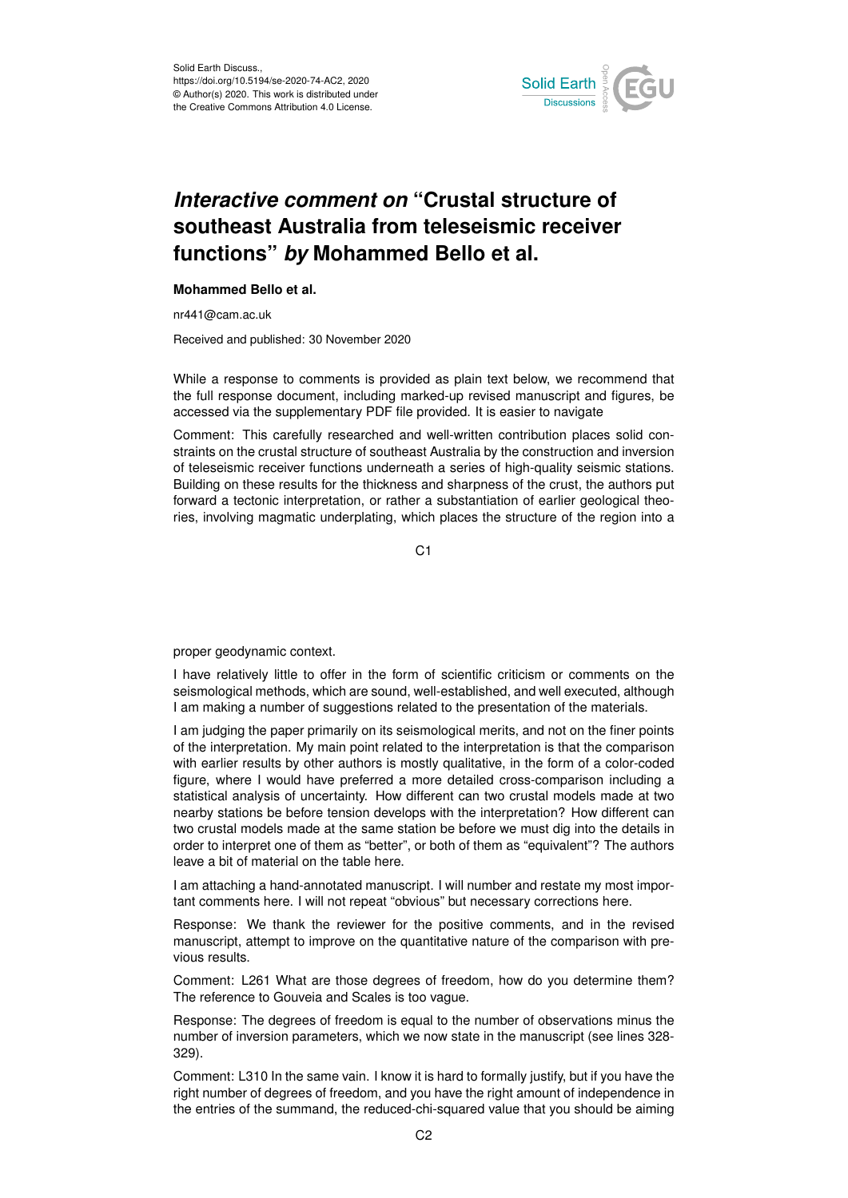

## *Interactive comment on* **"Crustal structure of southeast Australia from teleseismic receiver functions"** *by* **Mohammed Bello et al.**

## **Mohammed Bello et al.**

nr441@cam.ac.uk

Received and published: 30 November 2020

While a response to comments is provided as plain text below, we recommend that the full response document, including marked-up revised manuscript and figures, be accessed via the supplementary PDF file provided. It is easier to navigate

Comment: This carefully researched and well-written contribution places solid constraints on the crustal structure of southeast Australia by the construction and inversion of teleseismic receiver functions underneath a series of high-quality seismic stations. Building on these results for the thickness and sharpness of the crust, the authors put forward a tectonic interpretation, or rather a substantiation of earlier geological theories, involving magmatic underplating, which places the structure of the region into a

C<sub>1</sub>

proper geodynamic context.

I have relatively little to offer in the form of scientific criticism or comments on the seismological methods, which are sound, well-established, and well executed, although I am making a number of suggestions related to the presentation of the materials.

I am judging the paper primarily on its seismological merits, and not on the finer points of the interpretation. My main point related to the interpretation is that the comparison with earlier results by other authors is mostly qualitative, in the form of a color-coded figure, where I would have preferred a more detailed cross-comparison including a statistical analysis of uncertainty. How different can two crustal models made at two nearby stations be before tension develops with the interpretation? How different can two crustal models made at the same station be before we must dig into the details in order to interpret one of them as "better", or both of them as "equivalent"? The authors leave a bit of material on the table here.

I am attaching a hand-annotated manuscript. I will number and restate my most important comments here. I will not repeat "obvious" but necessary corrections here.

Response: We thank the reviewer for the positive comments, and in the revised manuscript, attempt to improve on the quantitative nature of the comparison with previous results.

Comment: L261 What are those degrees of freedom, how do you determine them? The reference to Gouveia and Scales is too vague.

Response: The degrees of freedom is equal to the number of observations minus the number of inversion parameters, which we now state in the manuscript (see lines 328- 329).

Comment: L310 In the same vain. I know it is hard to formally justify, but if you have the right number of degrees of freedom, and you have the right amount of independence in the entries of the summand, the reduced-chi-squared value that you should be aiming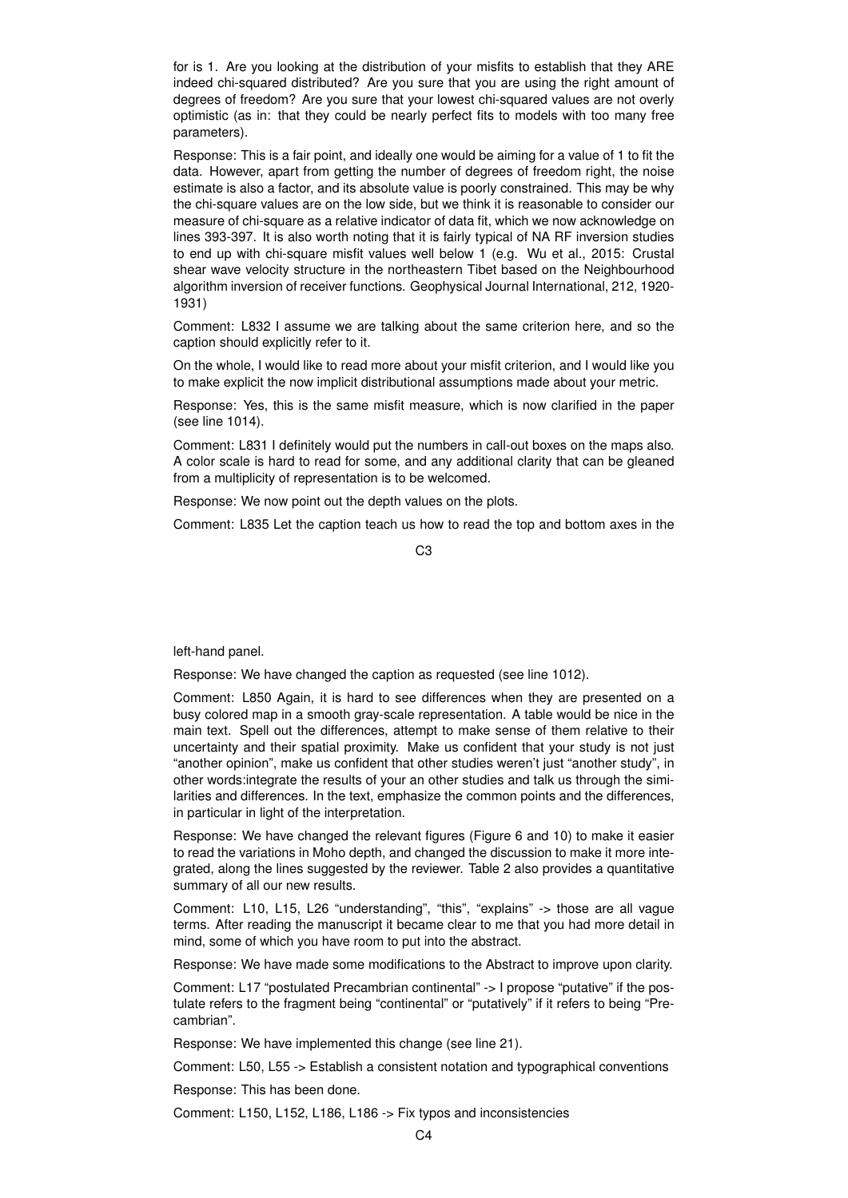for is 1. Are you looking at the distribution of your misfits to establish that they ARE indeed chi-squared distributed? Are you sure that you are using the right amount of degrees of freedom? Are you sure that your lowest chi-squared values are not overly optimistic (as in: that they could be nearly perfect fits to models with too many free parameters).

Response: This is a fair point, and ideally one would be aiming for a value of 1 to fit the data. However, apart from getting the number of degrees of freedom right, the noise estimate is also a factor, and its absolute value is poorly constrained. This may be why the chi-square values are on the low side, but we think it is reasonable to consider our measure of chi-square as a relative indicator of data fit, which we now acknowledge on lines 393-397. It is also worth noting that it is fairly typical of NA RF inversion studies to end up with chi-square misfit values well below 1 (e.g. Wu et al., 2015: Crustal shear wave velocity structure in the northeastern Tibet based on the Neighbourhood algorithm inversion of receiver functions. Geophysical Journal International, 212, 1920- 1931)

Comment: L832 I assume we are talking about the same criterion here, and so the caption should explicitly refer to it.

On the whole, I would like to read more about your misfit criterion, and I would like you to make explicit the now implicit distributional assumptions made about your metric.

Response: Yes, this is the same misfit measure, which is now clarified in the paper (see line 1014).

Comment: L831 I definitely would put the numbers in call-out boxes on the maps also. A color scale is hard to read for some, and any additional clarity that can be gleaned from a multiplicity of representation is to be welcomed.

Response: We now point out the depth values on the plots.

Comment: L835 Let the caption teach us how to read the top and bottom axes in the

 $C<sub>3</sub>$ 

left-hand panel.

Response: We have changed the caption as requested (see line 1012).

Comment: L850 Again, it is hard to see differences when they are presented on a busy colored map in a smooth gray-scale representation. A table would be nice in the main text. Spell out the differences, attempt to make sense of them relative to their uncertainty and their spatial proximity. Make us confident that your study is not just "another opinion", make us confident that other studies weren't just "another study", in other words:integrate the results of your an other studies and talk us through the similarities and differences. In the text, emphasize the common points and the differences, in particular in light of the interpretation.

Response: We have changed the relevant figures (Figure 6 and 10) to make it easier to read the variations in Moho depth, and changed the discussion to make it more integrated, along the lines suggested by the reviewer. Table 2 also provides a quantitative summary of all our new results.

Comment: L10, L15, L26 "understanding", "this", "explains" -> those are all vague terms. After reading the manuscript it became clear to me that you had more detail in mind, some of which you have room to put into the abstract.

Response: We have made some modifications to the Abstract to improve upon clarity.

Comment: L17 "postulated Precambrian continental" -> I propose "putative" if the postulate refers to the fragment being "continental" or "putatively" if it refers to being "Precambrian".

Response: We have implemented this change (see line 21).

Comment: L50, L55 -> Establish a consistent notation and typographical conventions

Response: This has been done.

Comment: L150, L152, L186, L186 -> Fix typos and inconsistencies